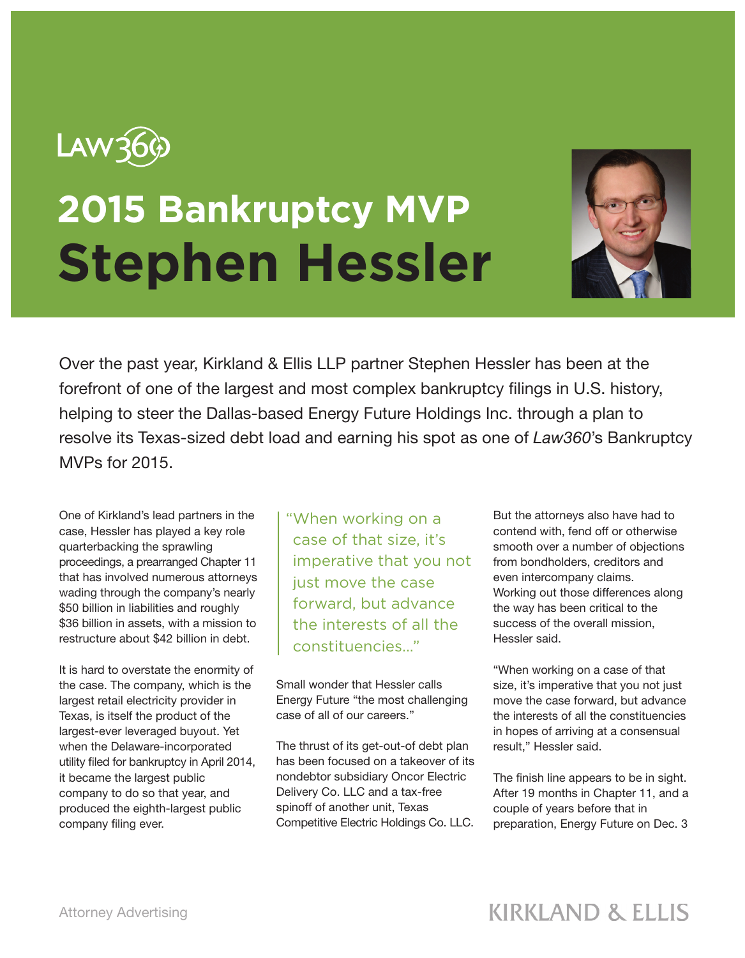

## **2015 Bankruptcy MVP Stephen Hessler**



Over the past year, Kirkland & Ellis LLP partner Stephen Hessler has been at the forefront of one of the largest and most complex bankruptcy filings in U.S. history, helping to steer the Dallas-based Energy Future Holdings Inc. through a plan to resolve its Texas-sized debt load and earning his spot as one of *Law360*'s Bankruptcy MVPs for 2015.

One of Kirkland's lead partners in the case, Hessler has played a key role quarterbacking the sprawling proceedings, a prearranged Chapter 11 that has involved numerous attorneys wading through the company's nearly \$50 billion in liabilities and roughly \$36 billion in assets, with a mission to restructure about \$42 billion in debt.

It is hard to overstate the enormity of the case. The company, which is the largest retail electricity provider in Texas, is itself the product of the largest-ever leveraged buyout. Yet when the Delaware-incorporated utility filed for bankruptcy in April 2014, it became the largest public company to do so that year, and produced the eighth-largest public company filing ever.

"When working on a case of that size, it's imperative that you not just move the case forward, but advance the interests of all the constituencies..."

Small wonder that Hessler calls Energy Future "the most challenging case of all of our careers."

The thrust of its get-out-of debt plan has been focused on a takeover of its nondebtor subsidiary Oncor Electric Delivery Co. LLC and a tax-free spinoff of another unit, Texas Competitive Electric Holdings Co. LLC.

But the attorneys also have had to contend with, fend off or otherwise smooth over a number of objections from bondholders, creditors and even intercompany claims. Working out those differences along the way has been critical to the success of the overall mission, Hessler said.

"When working on a case of that size, it's imperative that you not just move the case forward, but advance the interests of all the constituencies in hopes of arriving at a consensual result," Hessler said.

The finish line appears to be in sight. After 19 months in Chapter 11, and a couple of years before that in preparation, Energy Future on Dec. 3

## **KIRKLAND & ELLIS**